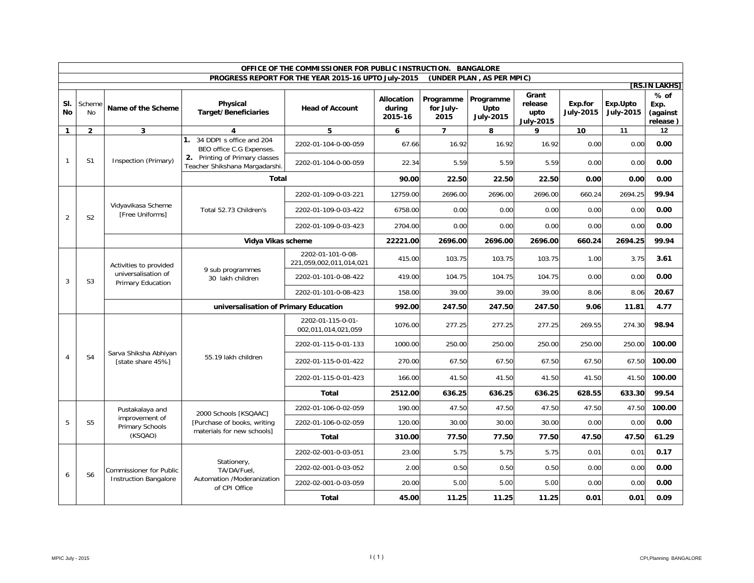|                | OFFICE OF THE COMMISSIONER FOR PUBLIC INSTRUCTION. BANGALORE |                                                                    |                                                                                           |                                                     |                                 |                                |                                       |                                              |                             |                              |                                        |      |
|----------------|--------------------------------------------------------------|--------------------------------------------------------------------|-------------------------------------------------------------------------------------------|-----------------------------------------------------|---------------------------------|--------------------------------|---------------------------------------|----------------------------------------------|-----------------------------|------------------------------|----------------------------------------|------|
|                |                                                              |                                                                    |                                                                                           | PROGRESS REPORT FOR THE YEAR 2015-16 UPTO July-2015 |                                 |                                | (UNDER PLAN, AS PER MPIC)             |                                              |                             |                              | [RS.IN LAKHS]                          |      |
| SI.<br>No      | Scheme<br>No                                                 | Name of the Scheme                                                 | Physical<br><b>Target/Beneficiaries</b>                                                   | <b>Head of Account</b>                              | Allocation<br>durina<br>2015-16 | Programme<br>for July-<br>2015 | Programme<br>Upto<br><b>July-2015</b> | Grant<br>release<br>upto<br><b>July-2015</b> | Exp.for<br><b>July-2015</b> | Exp.Upto<br><b>July-2015</b> | $%$ of<br>Exp.<br>(against<br>release) |      |
| $\mathbf{1}$   | $\overline{2}$                                               | 3                                                                  | 4                                                                                         | 5                                                   | 6                               | $\overline{7}$                 | 8                                     | 9                                            | 10                          | 11                           | 12                                     |      |
|                |                                                              |                                                                    | 1. 34 DDPI s office and 204<br>BEO office C.G Expenses.<br>2. Printing of Primary classes | 2202-01-104-0-00-059                                | 67.66                           | 16.92                          | 16.92                                 | 16.92                                        | 0.00                        | 0.00                         | 0.00                                   |      |
| $\mathbf{1}$   | S <sub>1</sub>                                               | Inspection (Primary)                                               | Teacher Shikshana Margadarshi.                                                            | 2202-01-104-0-00-059                                | 22.34                           | 5.59                           | 5.59                                  | 5.59                                         | 0.00                        | 0.00                         | 0.00                                   |      |
|                |                                                              |                                                                    | <b>Total</b>                                                                              |                                                     | 90.00                           | 22.50                          | 22.50                                 | 22.50                                        | 0.00                        | 0.00                         | 0.00                                   |      |
|                |                                                              |                                                                    |                                                                                           | 2202-01-109-0-03-221                                | 12759.00                        | 2696.00                        | 2696.00                               | 2696.00                                      | 660.24                      | 2694.25                      | 99.94                                  |      |
| $\overline{2}$ | S <sub>2</sub>                                               | Vidyavikasa Scheme<br>[Free Uniforms]                              | Total 52.73 Children's                                                                    | 2202-01-109-0-03-422                                | 6758.00                         | 0.00                           | 0.00                                  | 0.00                                         | 0.00                        | 0.00                         | 0.00                                   |      |
|                |                                                              |                                                                    |                                                                                           | 2202-01-109-0-03-423                                | 2704.00                         | 0.00                           | 0.00                                  | 0.00                                         | 0.00                        | 0.00                         | 0.00                                   |      |
|                |                                                              |                                                                    | Vidya Vikas scheme                                                                        |                                                     | 22221.00                        | 2696.00                        | 2696.00                               | 2696.00                                      | 660.24                      | 2694.25                      | 99.94                                  |      |
|                | S <sub>3</sub>                                               | Activities to provided<br>universalisation of<br>Primary Education | 9 sub programmes<br>30 lakh children                                                      | 2202-01-101-0-08-<br>221,059,002,011,014,021        | 415.00                          | 103.75                         | 103.75                                | 103.75                                       | 1.00                        | 3.75                         | 3.61                                   |      |
| 3              |                                                              |                                                                    |                                                                                           | 2202-01-101-0-08-422                                | 419.00                          | 104.75                         | 104.75                                | 104.75                                       | 0.00                        | 0.00                         | 0.00                                   |      |
|                |                                                              |                                                                    |                                                                                           | 2202-01-101-0-08-423                                | 158.00                          | 39.00                          | 39.00                                 | 39.00                                        | 8.06                        | 8.06                         | 20.67                                  |      |
|                |                                                              |                                                                    | universalisation of Primary Education                                                     | 992.00                                              | 247.50                          | 247.50                         | 247.50                                | 9.06                                         | 11.81                       | 4.77                         |                                        |      |
|                |                                                              | Sarva Shiksha Abhiyan<br>[state share 45%]                         |                                                                                           | 2202-01-115-0-01-<br>002,011,014,021,059            | 1076.00                         | 277.25                         | 277.25                                | 277.25                                       | 269.55                      | 274.30                       | 98.94                                  |      |
|                |                                                              |                                                                    |                                                                                           | 2202-01-115-0-01-133                                | 1000.00                         | 250.00                         | 250.00                                | 250.00                                       | 250.00                      | 250.00                       | 100.00                                 |      |
| $\overline{4}$ | S <sub>4</sub>                                               |                                                                    | 55.19 lakh children                                                                       | 2202-01-115-0-01-422                                | 270.00                          | 67.50                          | 67.50                                 | 67.50                                        | 67.50                       | 67.50                        | 100.00                                 |      |
|                |                                                              |                                                                    |                                                                                           | 2202-01-115-0-01-423                                | 166.00                          | 41.50                          | 41.50                                 | 41.50                                        | 41.50                       | 41.50                        | 100.00                                 |      |
|                |                                                              |                                                                    |                                                                                           | Total                                               | 2512.00                         | 636.25                         | 636.25                                | 636.25                                       | 628.55                      | 633.30                       | 99.54                                  |      |
|                |                                                              | Pustakalaya and                                                    | 2000 Schools [KSQAAC]                                                                     | 2202-01-106-0-02-059                                | 190.00                          | 47.50                          | 47.50                                 | 47.50                                        | 47.50                       | 47.50                        | 100.00                                 |      |
| 5              | S <sub>5</sub>                                               | improvement of<br>Primary Schools                                  | [Purchase of books, writing<br>materials for new schools]                                 | 2202-01-106-0-02-059                                | 120.00                          | 30.00                          | 30.00                                 | 30.00                                        | 0.00                        | 0.00                         | 0.00                                   |      |
|                |                                                              | (KSQAO)                                                            |                                                                                           | Total                                               | 310.00                          | 77.50                          | 77.50                                 | 77.50                                        | 47.50                       | 47.50                        | 61.29                                  |      |
|                |                                                              |                                                                    |                                                                                           | 2202-02-001-0-03-051                                | 23.00                           | 5.75                           | 5.75                                  | 5.75                                         | 0.01                        | 0.01                         | 0.17                                   |      |
| 6              | S <sub>6</sub>                                               | <b>Commissioner for Public</b>                                     | Stationery,<br>TA/DA/Fuel.                                                                | 2202-02-001-0-03-052                                | 2.00                            | 0.50                           | 0.50                                  | 0.50                                         | 0.00                        | 0.00                         | 0.00                                   |      |
|                |                                                              | Instruction Bangalore                                              | Automation /Moderanization<br>of CPI Office                                               | 2202-02-001-0-03-059                                | 20.00                           | 5.00                           | 5.00                                  | 5.00                                         | 0.00                        | 0.00                         | 0.00                                   |      |
|                |                                                              |                                                                    |                                                                                           |                                                     | <b>Total</b>                    | 45.00                          | 11.25                                 | 11.25                                        | 11.25                       | 0.01                         | 0.01                                   | 0.09 |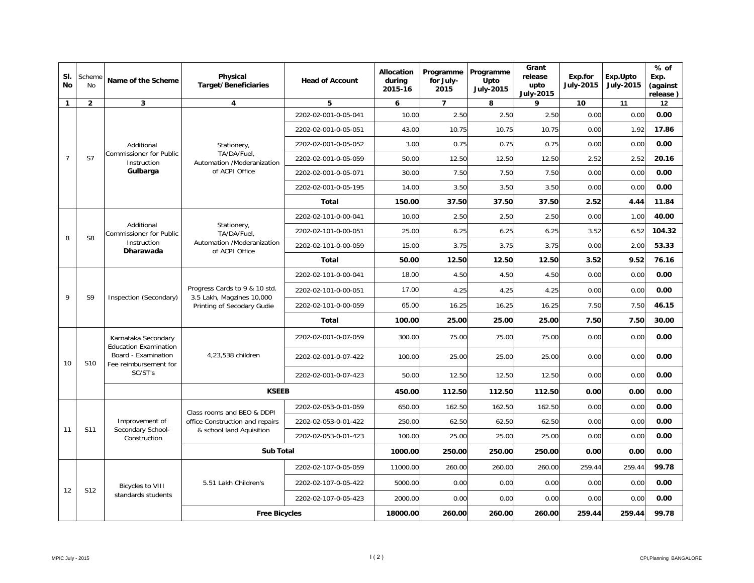| SI.<br><b>No</b> | Scheme<br><b>No</b> | Name of the Scheme                                                                                             | Physical<br><b>Target/Beneficiaries</b>                                                  | <b>Head of Account</b> | Allocation<br>during<br>2015-16 | Programme<br>for July-<br>2015 | Programme<br>Upto<br><b>July-2015</b> | Grant<br>release<br>upto<br><b>July-2015</b> | Exp.for<br><b>July-2015</b> | Exp.Upto<br><b>July-2015</b> | $%$ of<br>Exp.<br>(against<br>release) |
|------------------|---------------------|----------------------------------------------------------------------------------------------------------------|------------------------------------------------------------------------------------------|------------------------|---------------------------------|--------------------------------|---------------------------------------|----------------------------------------------|-----------------------------|------------------------------|----------------------------------------|
| $\mathbf{1}$     | $\overline{2}$      | 3                                                                                                              | 4                                                                                        | 5                      | 6                               | $\overline{7}$                 | 8                                     | 9                                            | 10                          | 11                           | 12                                     |
|                  |                     |                                                                                                                |                                                                                          | 2202-02-001-0-05-041   | 10.00                           | 2.50                           | 2.50                                  | 2.50                                         | 0.00                        | 0.00                         | 0.00                                   |
|                  |                     |                                                                                                                |                                                                                          | 2202-02-001-0-05-051   | 43.00                           | 10.75                          | 10.75                                 | 10.75                                        | 0.00                        | 1.92                         | 17.86                                  |
|                  |                     | Additional                                                                                                     | Stationery,                                                                              | 2202-02-001-0-05-052   | 3.00                            | 0.75                           | 0.75                                  | 0.75                                         | 0.00                        | 0.00                         | 0.00                                   |
| $\overline{7}$   | S7                  | Commissioner for Public<br>Instruction                                                                         | TA/DA/Fuel,<br>Automation /Moderanization                                                | 2202-02-001-0-05-059   | 50.00                           | 12.50                          | 12.50                                 | 12.50                                        | 2.52                        | 2.52                         | 20.16                                  |
|                  |                     | Gulbarga                                                                                                       | of ACPI Office                                                                           | 2202-02-001-0-05-071   | 30.00                           | 7.50                           | 7.50                                  | 7.50                                         | 0.00                        | 0.00                         | 0.00                                   |
|                  |                     |                                                                                                                |                                                                                          | 2202-02-001-0-05-195   | 14.00                           | 3.50                           | 3.50                                  | 3.50                                         | 0.00                        | 0.00                         | 0.00                                   |
|                  |                     |                                                                                                                |                                                                                          | Total                  | 150.00                          | 37.50                          | 37.50                                 | 37.50                                        | 2.52                        | 4.44                         | 11.84                                  |
|                  |                     |                                                                                                                |                                                                                          | 2202-02-101-0-00-041   | 10.00                           | 2.50                           | 2.50                                  | 2.50                                         | 0.00                        | 1.00                         | 40.00                                  |
| 8                | S <sub>8</sub>      | Additional<br>Commissioner for Public<br>Instruction<br>Dharawada                                              | Stationery,<br>TA/DA/Fuel.<br>Automation /Moderanization<br>of ACPI Office               | 2202-02-101-0-00-051   | 25.00                           | 6.25                           | 6.25                                  | 6.25                                         | 3.52                        | 6.52                         | 104.32                                 |
|                  |                     |                                                                                                                |                                                                                          | 2202-02-101-0-00-059   | 15.00                           | 3.75                           | 3.75                                  | 3.75                                         | 0.00                        | 2.00                         | 53.33                                  |
|                  |                     |                                                                                                                |                                                                                          | Total                  | 50.00                           | 12.50                          | 12.50                                 | 12.50                                        | 3.52                        | 9.52                         | 76.16                                  |
|                  | S <sub>9</sub>      | Inspection (Secondary)                                                                                         | Progress Cards to 9 & 10 std.<br>3.5 Lakh, Magzines 10,000<br>Printing of Secodary Gudie | 2202-02-101-0-00-041   | 18.00                           | 4.50                           | 4.50                                  | 4.50                                         | 0.00                        | 0.00                         | 0.00                                   |
| 9                |                     |                                                                                                                |                                                                                          | 2202-02-101-0-00-051   | 17.00                           | 4.25                           | 4.25                                  | 4.25                                         | 0.00                        | 0.00                         | 0.00                                   |
|                  |                     |                                                                                                                |                                                                                          | 2202-02-101-0-00-059   | 65.00                           | 16.25                          | 16.25                                 | 16.25                                        | 7.50                        | 7.50                         | 46.15                                  |
|                  |                     |                                                                                                                |                                                                                          | Total                  | 100.00                          | 25.00                          | 25.00                                 | 25.00                                        | 7.50                        | 7.50                         | 30.00                                  |
|                  |                     | Karnataka Secondary<br><b>Education Examination</b><br>Board - Examination<br>Fee reimbursement for<br>SC/ST's | 4,23,538 children                                                                        | 2202-02-001-0-07-059   | 300.00                          | 75.00                          | 75.00                                 | 75.00                                        | 0.00                        | 0.00                         | 0.00                                   |
| 10               | S <sub>10</sub>     |                                                                                                                |                                                                                          | 2202-02-001-0-07-422   | 100.00                          | 25.00                          | 25.00                                 | 25.00                                        | 0.00                        | 0.00                         | 0.00                                   |
|                  |                     |                                                                                                                |                                                                                          | 2202-02-001-0-07-423   | 50.00                           | 12.50                          | 12.50                                 | 12.50                                        | 0.00                        | 0.00                         | 0.00                                   |
|                  |                     |                                                                                                                | <b>KSEEB</b>                                                                             |                        | 450.00                          | 112.50                         | 112.50                                | 112.50                                       | 0.00                        | 0.00                         | 0.00                                   |
|                  |                     |                                                                                                                | Class rooms and BEO & DDPI                                                               | 2202-02-053-0-01-059   | 650.00                          | 162.50                         | 162.50                                | 162.50                                       | 0.00                        | 0.00                         | 0.00                                   |
|                  |                     | Improvement of                                                                                                 | office Construction and repairs                                                          | 2202-02-053-0-01-422   | 250.00                          | 62.50                          | 62.50                                 | 62.50                                        | 0.00                        | 0.00                         | 0.00                                   |
| 11               | S11                 | Secondary School-<br>Construction                                                                              | & school land Aquisition                                                                 | 2202-02-053-0-01-423   | 100.00                          | 25.00                          | 25.00                                 | 25.00                                        | 0.00                        | 0.00                         | 0.00                                   |
|                  |                     |                                                                                                                | <b>Sub Total</b>                                                                         |                        | 1000.00                         | 250.00                         | 250.00                                | 250.00                                       | 0.00                        | 0.00                         | 0.00                                   |
|                  |                     |                                                                                                                |                                                                                          | 2202-02-107-0-05-059   | 11000.00                        | 260.00                         | 260.00                                | 260.00                                       | 259.44                      | 259.44                       | 99.78                                  |
|                  |                     | <b>Bicycles to VIII</b>                                                                                        | 5.51 Lakh Children's                                                                     | 2202-02-107-0-05-422   | 5000.00                         | 0.00                           | 0.00                                  | 0.00                                         | 0.00                        | 0.00                         | 0.00                                   |
| 12               | S12                 | standards students                                                                                             |                                                                                          | 2202-02-107-0-05-423   | 2000.00                         | 0.00                           | 0.00                                  | 0.00                                         | 0.00                        | 0.00                         | 0.00                                   |
|                  |                     |                                                                                                                | <b>Free Bicycles</b>                                                                     |                        | 18000.00                        | 260.00                         | 260.00                                | 260.00                                       | 259.44                      | 259.44                       | 99.78                                  |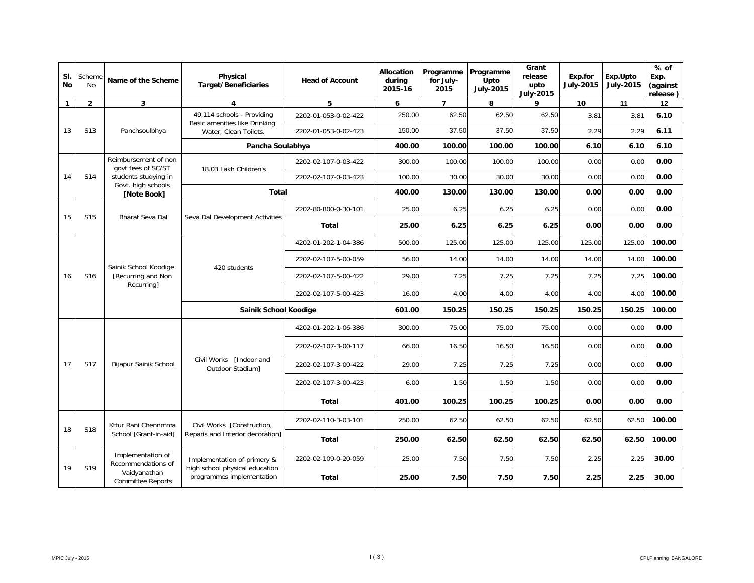| SI.<br>No    | Scheme<br>No    | Name of the Scheme                                        | Physical<br><b>Target/Beneficiaries</b>                     | <b>Head of Account</b>                                      | Allocation<br>during<br>2015-16 | Programme<br>for July-<br>2015 | Programme<br>Upto<br><b>July-2015</b> | Grant<br>release<br>upto<br><b>July-2015</b> | Exp.for<br><b>July-2015</b> | Exp.Upto<br><b>July-2015</b> | $%$ of<br>Exp.<br>(against<br>release) |       |
|--------------|-----------------|-----------------------------------------------------------|-------------------------------------------------------------|-------------------------------------------------------------|---------------------------------|--------------------------------|---------------------------------------|----------------------------------------------|-----------------------------|------------------------------|----------------------------------------|-------|
| $\mathbf{1}$ | $\mathbf{2}$    | 3                                                         | 4                                                           | 5                                                           | 6                               | $\overline{7}$                 | 8                                     | 9                                            | 10                          | 11                           | 12                                     |       |
|              |                 |                                                           | 49,114 schools - Providing<br>Basic amenities like Drinking | 2202-01-053-0-02-422                                        | 250.00                          | 62.50                          | 62.50                                 | 62.50                                        | 3.81                        | 3.81                         | 6.10                                   |       |
| 13           | S <sub>13</sub> | Panchsoulbhya                                             | Water, Clean Toilets.                                       | 2202-01-053-0-02-423                                        | 150.00                          | 37.50                          | 37.50                                 | 37.50                                        | 2.29                        | 2.29                         | 6.11                                   |       |
|              |                 |                                                           | Pancha Soulabhya                                            |                                                             | 400.00                          | 100.00                         | 100.00                                | 100.00                                       | 6.10                        | 6.10                         | 6.10                                   |       |
|              |                 | Reimbursement of non<br>govt fees of SC/ST                | 18.03 Lakh Children's                                       | 2202-02-107-0-03-422                                        | 300.00                          | 100.00                         | 100.00                                | 100.00                                       | 0.00                        | 0.00                         | 0.00                                   |       |
| 14           | S14             | students studying in                                      |                                                             | 2202-02-107-0-03-423                                        | 100.00                          | 30.00                          | 30.00                                 | 30.00                                        | 0.00                        | 0.00                         | 0.00                                   |       |
|              |                 | Govt. high schools<br>[Note Book]                         | Total                                                       |                                                             | 400.00                          | 130.00                         | 130.00                                | 130.00                                       | 0.00                        | 0.00                         | 0.00                                   |       |
| 15           | S <sub>15</sub> | Bharat Seva Dal                                           |                                                             | 2202-80-800-0-30-101                                        | 25.00                           | 6.25                           | 6.25                                  | 6.25                                         | 0.00                        | 0.00                         | 0.00                                   |       |
|              |                 |                                                           | Seva Dal Development Activities                             | <b>Total</b>                                                | 25.00                           | 6.25                           | 6.25                                  | 6.25                                         | 0.00                        | 0.00                         | 0.00                                   |       |
|              | S <sub>16</sub> | Sainik School Koodige<br>[Recurring and Non<br>Recurring] | 420 students                                                | 4202-01-202-1-04-386                                        | 500.00                          | 125.00                         | 125.00                                | 125.00                                       | 125.00                      | 125.00                       | 100.00                                 |       |
|              |                 |                                                           |                                                             | 2202-02-107-5-00-059                                        | 56.00                           | 14.00                          | 14.00                                 | 14.00                                        | 14.00                       | 14.00                        | 100.00                                 |       |
| 16           |                 |                                                           |                                                             | 2202-02-107-5-00-422                                        | 29.00                           | 7.25                           | 7.25                                  | 7.25                                         | 7.25                        | 7.25                         | 100.00                                 |       |
|              |                 |                                                           |                                                             | 2202-02-107-5-00-423                                        | 16.00                           | 4.00                           | 4.00                                  | 4.00                                         | 4.00                        | 4.00                         | 100.00                                 |       |
|              |                 |                                                           | Sainik School Koodige                                       |                                                             | 601.00                          | 150.25                         | 150.25                                | 150.25                                       | 150.25                      | 150.25                       | 100.00                                 |       |
|              |                 |                                                           |                                                             | 4202-01-202-1-06-386                                        | 300.00                          | 75.00                          | 75.00                                 | 75.00                                        | 0.00                        | 0.00                         | 0.00                                   |       |
|              |                 |                                                           |                                                             | 2202-02-107-3-00-117                                        | 66.00                           | 16.50                          | 16.50                                 | 16.50                                        | 0.00                        | 0.00                         | 0.00                                   |       |
| 17           | S <sub>17</sub> | Bijapur Sainik School                                     | Civil Works [Indoor and<br>Outdoor Stadium]                 | 2202-02-107-3-00-422                                        | 29.00                           | 7.25                           | 7.25                                  | 7.25                                         | 0.00                        | 0.00                         | 0.00                                   |       |
|              |                 |                                                           |                                                             | 2202-02-107-3-00-423                                        | 6.00                            | 1.50                           | 1.50                                  | 1.50                                         | 0.00                        | 0.00                         | 0.00                                   |       |
|              |                 |                                                           |                                                             | <b>Total</b>                                                | 401.00                          | 100.25                         | 100.25                                | 100.25                                       | 0.00                        | 0.00                         | 0.00                                   |       |
|              |                 | Kttur Rani Chennmma                                       | Civil Works [Construction,                                  | 2202-02-110-3-03-101                                        | 250.00                          | 62.50                          | 62.50                                 | 62.50                                        | 62.50                       | 62.50                        | 100.00                                 |       |
| 18           | S18             | School [Grant-in-aid]                                     | Reparis and Interior decoration]                            | Total                                                       | 250.00                          | 62.50                          | 62.50                                 | 62.50                                        | 62.50                       | 62.50                        | 100.00                                 |       |
|              |                 | Implementation of<br>Recommendations of                   | Implementation of primery &                                 | 2202-02-109-0-20-059                                        | 25.00                           | 7.50                           | 7.50                                  | 7.50                                         | 2.25                        | 2.25                         | 30.00                                  |       |
| 19           | S <sub>19</sub> | Vaidyanathan<br><b>Committee Reports</b>                  |                                                             | high school physical education<br>programmes implementation | Total                           | 25.00                          | 7.50                                  | 7.50                                         | 7.50                        | 2.25                         | 2.25                                   | 30.00 |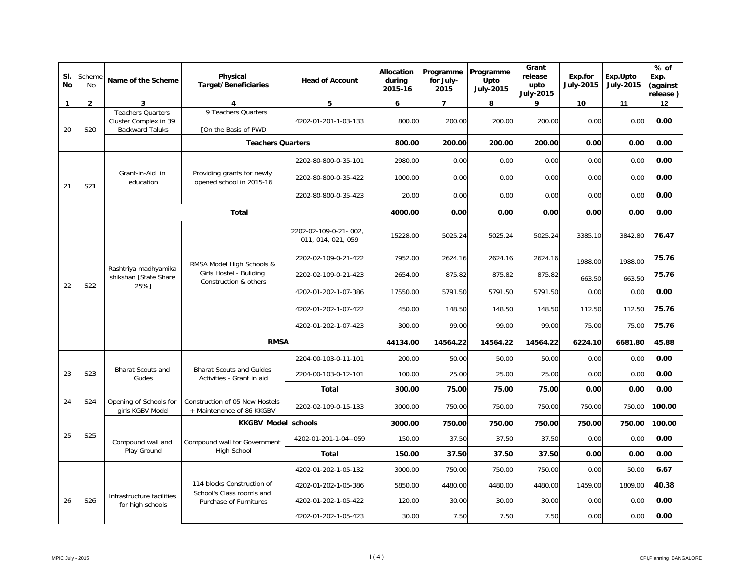| SI.<br><b>No</b> | Scheme<br><b>No</b> | Name of the Scheme                                                          | Physical<br><b>Target/Beneficiaries</b>                                       | <b>Head of Account</b>                      | Allocation<br>during<br>2015-16 | Programme<br>for July-<br>2015 | Programme<br>Upto<br><b>July-2015</b> | Grant<br>release<br>upto<br><b>July-2015</b> | Exp.for<br><b>July-2015</b> | Exp.Upto<br><b>July-2015</b> | $%$ of<br>Exp.<br>(against<br>release) |
|------------------|---------------------|-----------------------------------------------------------------------------|-------------------------------------------------------------------------------|---------------------------------------------|---------------------------------|--------------------------------|---------------------------------------|----------------------------------------------|-----------------------------|------------------------------|----------------------------------------|
| $\mathbf{1}$     | $\overline{2}$      | 3                                                                           | 4                                                                             | 5                                           | 6                               | $\overline{7}$                 | 8                                     | 9                                            | 10                          | 11                           | 12                                     |
| 20               | S20                 | <b>Teachers Quarters</b><br>Cluster Complex in 39<br><b>Backward Taluks</b> | 9 Teachers Quarters<br>[On the Basis of PWD                                   | 4202-01-201-1-03-133                        | 800.00                          | 200.00                         | 200.00                                | 200.00                                       | 0.00                        | 0.00                         | 0.00                                   |
|                  |                     |                                                                             | <b>Teachers Quarters</b>                                                      |                                             | 800.00                          | 200.00                         | 200.00                                | 200.00                                       | 0.00                        | 0.00                         | 0.00                                   |
|                  |                     |                                                                             |                                                                               | 2202-80-800-0-35-101                        | 2980.00                         | 0.00                           | 0.00                                  | 0.00                                         | 0.00                        | 0.00                         | 0.00                                   |
| 21               | S21                 | Grant-in-Aid in<br>education                                                | Providing grants for newly<br>opened school in 2015-16                        | 2202-80-800-0-35-422                        | 1000.00                         | 0.00                           | 0.00                                  | 0.00                                         | 0.00                        | 0.00                         | 0.00                                   |
|                  |                     |                                                                             |                                                                               | 2202-80-800-0-35-423                        | 20.00                           | 0.00                           | 0.00                                  | 0.00                                         | 0.00                        | 0.00                         | 0.00                                   |
|                  |                     |                                                                             | Total                                                                         |                                             | 4000.00                         | 0.00                           | 0.00                                  | 0.00                                         | 0.00                        | 0.00                         | 0.00                                   |
|                  | S22                 | Rashtriya madhyamika<br>shikshan [State Share<br>25%1                       | RMSA Model High Schools &<br>Girls Hostel - Buliding<br>Construction & others | 2202-02-109-0-21-002,<br>011, 014, 021, 059 | 15228.00                        | 5025.24                        | 5025.24                               | 5025.24                                      | 3385.10                     | 3842.80                      | 76.47                                  |
|                  |                     |                                                                             |                                                                               | 2202-02-109-0-21-422                        | 7952.00                         | 2624.16                        | 2624.16                               | 2624.16                                      | 1988.00                     | 1988.00                      | 75.76                                  |
|                  |                     |                                                                             |                                                                               | 2202-02-109-0-21-423                        | 2654.00                         | 875.82                         | 875.82                                | 875.82                                       | 663.50                      | 663.50                       | 75.76                                  |
| 22               |                     |                                                                             |                                                                               | 4202-01-202-1-07-386                        | 17550.00                        | 5791.50                        | 5791.50                               | 5791.50                                      | 0.00                        | 0.00                         | 0.00                                   |
|                  |                     |                                                                             |                                                                               | 4202-01-202-1-07-422                        | 450.00                          | 148.50                         | 148.50                                | 148.50                                       | 112.50                      | 112.50                       | 75.76                                  |
|                  |                     |                                                                             |                                                                               | 4202-01-202-1-07-423                        | 300.00                          | 99.00                          | 99.00                                 | 99.00                                        | 75.00                       | 75.00                        | 75.76                                  |
|                  |                     |                                                                             | <b>RMSA</b>                                                                   | 44134.00                                    | 14564.22                        | 14564.22                       | 14564.22                              | 6224.10                                      | 6681.80                     | 45.88                        |                                        |
|                  |                     |                                                                             |                                                                               | 2204-00-103-0-11-101                        | 200.00                          | 50.00                          | 50.00                                 | 50.00                                        | 0.00                        | 0.00                         | 0.00                                   |
| 23               | S <sub>23</sub>     | <b>Bharat Scouts and</b><br>Gudes                                           | <b>Bharat Scouts and Guides</b><br>Activities - Grant in aid                  | 2204-00-103-0-12-101                        | 100.00                          | 25.00                          | 25.00                                 | 25.00                                        | 0.00                        | 0.00                         | 0.00                                   |
|                  |                     |                                                                             |                                                                               | Total                                       | 300.00                          | 75.00                          | 75.00                                 | 75.00                                        | 0.00                        | 0.00                         | 0.00                                   |
| 24               | S24                 | Opening of Schools for<br>girls KGBV Model                                  | Construction of 05 New Hostels<br>+ Maintenence of 86 KKGBV                   | 2202-02-109-0-15-133                        | 3000.00                         | 750.00                         | 750.00                                | 750.00                                       | 750.00                      | 750.00                       | 100.00                                 |
|                  |                     |                                                                             | <b>KKGBV Model schools</b>                                                    |                                             | 3000.00                         | 750.00                         | 750.00                                | 750.00                                       | 750.00                      | 750.00                       | 100.00                                 |
| 25               | S <sub>25</sub>     | Compound wall and                                                           | Compound wall for Government                                                  | 4202-01-201-1-04--059                       | 150.00                          | 37.50                          | 37.50                                 | 37.50                                        | 0.00                        | 0.00                         | 0.00                                   |
|                  |                     | Play Ground                                                                 | <b>High School</b>                                                            | <b>Total</b>                                | 150.00                          | 37.50                          | 37.50                                 | 37.50                                        | 0.00                        | 0.00                         | 0.00                                   |
|                  |                     |                                                                             |                                                                               | 4202-01-202-1-05-132                        | 3000.00                         | 750.00                         | 750.00                                | 750.00                                       | 0.00                        | 50.00                        | 6.67                                   |
|                  |                     |                                                                             | 114 blocks Construction of<br>School's Class room's and                       | 4202-01-202-1-05-386                        | 5850.00                         | 4480.00                        | 4480.00                               | 4480.00                                      | 1459.00                     | 1809.00                      | 40.38                                  |
| 26               | S26                 | Infrastructure facilities<br>for high schools                               | Purchase of Furnitures                                                        | 4202-01-202-1-05-422                        | 120.00                          | 30.00                          | 30.00                                 | 30.00                                        | 0.00                        | 0.00                         | 0.00                                   |
|                  |                     |                                                                             |                                                                               | 4202-01-202-1-05-423                        | 30.00                           | 7.50                           | 7.50                                  | 7.50                                         | 0.00                        | 0.00                         | 0.00                                   |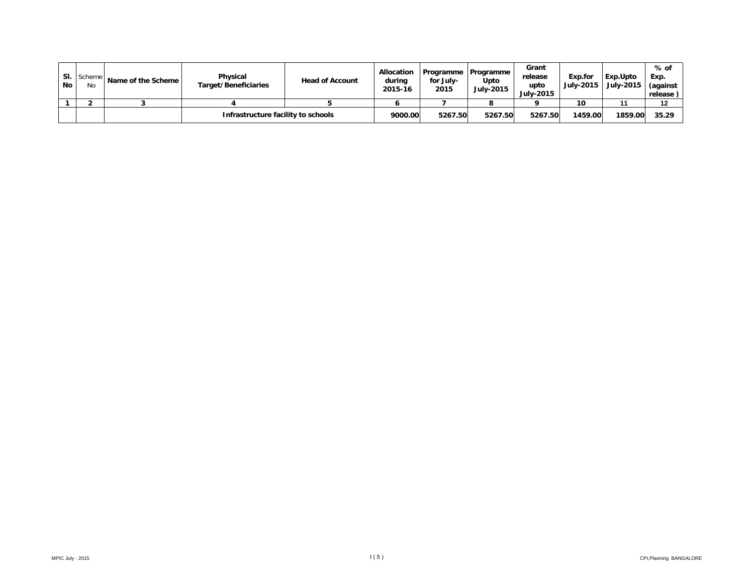| SI.<br><b>No</b> | Scheme  <br>No | Name of the Scheme | Physical<br>Target/Beneficiaries   | <b>Head of Account</b> | <b>Allocation</b><br>during<br>2015-16 | for July-<br>2015 | Programme   Programme<br>Upto<br><b>July-2015</b> | Grant<br>release<br>upto<br><b>July-2015</b> | Exp.for<br>July-2015 | l Exp.Upto<br><b>July-2015</b> | % of<br>Exp.<br>(against<br>release) |
|------------------|----------------|--------------------|------------------------------------|------------------------|----------------------------------------|-------------------|---------------------------------------------------|----------------------------------------------|----------------------|--------------------------------|--------------------------------------|
|                  |                |                    |                                    |                        |                                        |                   |                                                   |                                              | 10                   |                                | 12                                   |
|                  |                |                    | Infrastructure facility to schools |                        | 9000.00                                | 5267.50           | 5267.50                                           | 5267.50                                      | 1459.00              | 1859.00                        | 35.29                                |